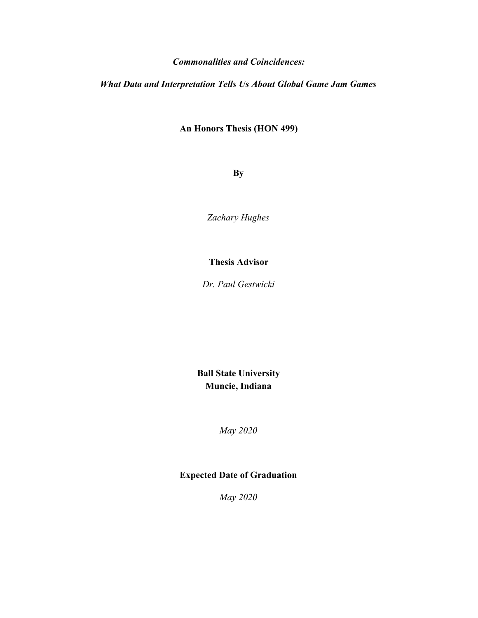### *Commonalities and Coincidences:*

*What Data and Interpretation Tells Us About Global Game Jam Games*

**An Honors Thesis (HON 499)**

**By**

*Zachary Hughes*

**Thesis Advisor**

*Dr. Paul Gestwicki*

**Ball State University Muncie, Indiana**

*May 2020*

## **Expected Date of Graduation**

*May 2020*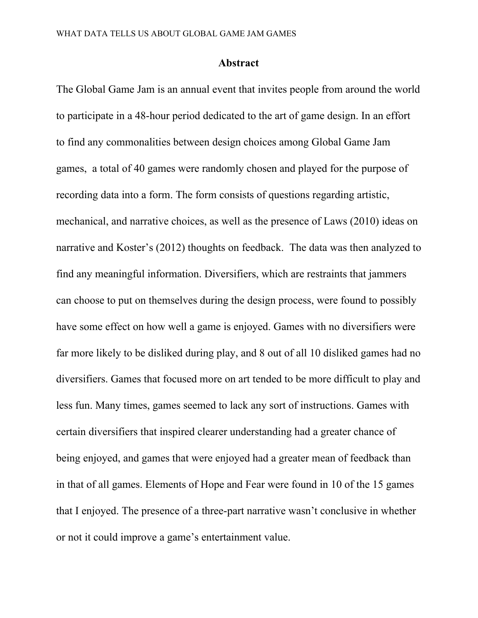### **Abstract**

The Global Game Jam is an annual event that invites people from around the world to participate in a 48-hour period dedicated to the art of game design. In an effort to find any commonalities between design choices among Global Game Jam games, a total of 40 games were randomly chosen and played for the purpose of recording data into a form. The form consists of questions regarding artistic, mechanical, and narrative choices, as well as the presence of Laws (2010) ideas on narrative and Koster's (2012) thoughts on feedback. The data was then analyzed to find any meaningful information. Diversifiers, which are restraints that jammers can choose to put on themselves during the design process, were found to possibly have some effect on how well a game is enjoyed. Games with no diversifiers were far more likely to be disliked during play, and 8 out of all 10 disliked games had no diversifiers. Games that focused more on art tended to be more difficult to play and less fun. Many times, games seemed to lack any sort of instructions. Games with certain diversifiers that inspired clearer understanding had a greater chance of being enjoyed, and games that were enjoyed had a greater mean of feedback than in that of all games. Elements of Hope and Fear were found in 10 of the 15 games that I enjoyed. The presence of a three-part narrative wasn't conclusive in whether or not it could improve a game's entertainment value.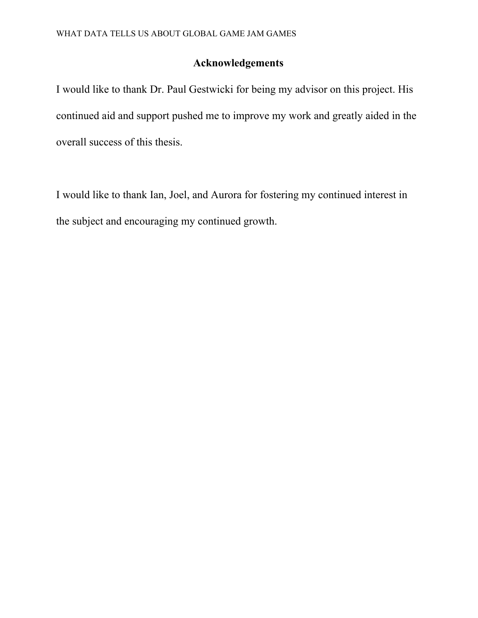## **Acknowledgements**

I would like to thank Dr. Paul Gestwicki for being my advisor on this project. His continued aid and support pushed me to improve my work and greatly aided in the overall success of this thesis.

I would like to thank Ian, Joel, and Aurora for fostering my continued interest in the subject and encouraging my continued growth.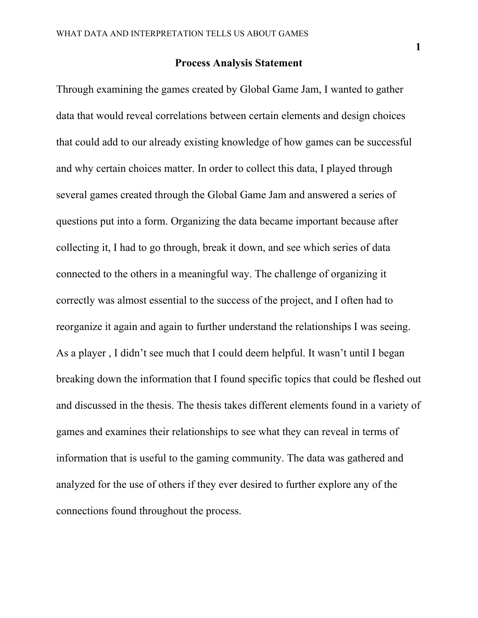### **Process Analysis Statement**

Through examining the games created by Global Game Jam, I wanted to gather data that would reveal correlations between certain elements and design choices that could add to our already existing knowledge of how games can be successful and why certain choices matter. In order to collect this data, I played through several games created through the Global Game Jam and answered a series of questions put into a form. Organizing the data became important because after collecting it, I had to go through, break it down, and see which series of data connected to the others in a meaningful way. The challenge of organizing it correctly was almost essential to the success of the project, and I often had to reorganize it again and again to further understand the relationships I was seeing. As a player , I didn't see much that I could deem helpful. It wasn't until I began breaking down the information that I found specific topics that could be fleshed out and discussed in the thesis. The thesis takes different elements found in a variety of games and examines their relationships to see what they can reveal in terms of information that is useful to the gaming community. The data was gathered and analyzed for the use of others if they ever desired to further explore any of the connections found throughout the process.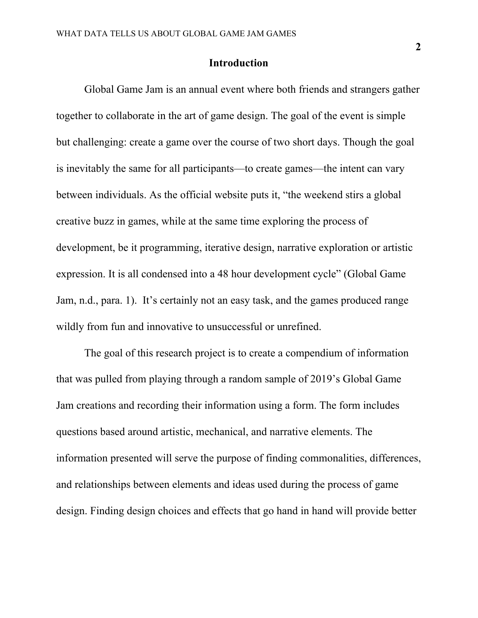### **Introduction**

Global Game Jam is an annual event where both friends and strangers gather together to collaborate in the art of game design. The goal of the event is simple but challenging: create a game over the course of two short days. Though the goal is inevitably the same for all participants—to create games—the intent can vary between individuals. As the official website puts it, "the weekend stirs a global creative buzz in games, while at the same time exploring the process of development, be it programming, iterative design, narrative exploration or artistic expression. It is all condensed into a 48 hour development cycle" (Global Game Jam, n.d., para. 1). It's certainly not an easy task, and the games produced range wildly from fun and innovative to unsuccessful or unrefined.

The goal of this research project is to create a compendium of information that was pulled from playing through a random sample of 2019's Global Game Jam creations and recording their information using a form. The form includes questions based around artistic, mechanical, and narrative elements. The information presented will serve the purpose of finding commonalities, differences, and relationships between elements and ideas used during the process of game design. Finding design choices and effects that go hand in hand will provide better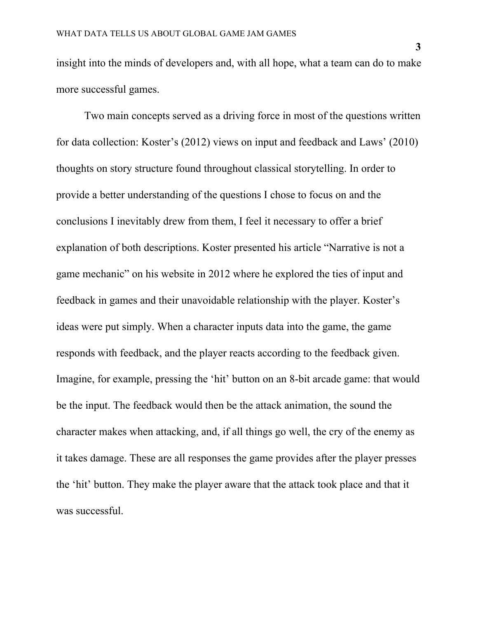insight into the minds of developers and, with all hope, what a team can do to make more successful games.

Two main concepts served as a driving force in most of the questions written for data collection: Koster's (2012) views on input and feedback and Laws' (2010) thoughts on story structure found throughout classical storytelling. In order to provide a better understanding of the questions I chose to focus on and the conclusions I inevitably drew from them, I feel it necessary to offer a brief explanation of both descriptions. Koster presented his article "Narrative is not a game mechanic" on his website in 2012 where he explored the ties of input and feedback in games and their unavoidable relationship with the player. Koster's ideas were put simply. When a character inputs data into the game, the game responds with feedback, and the player reacts according to the feedback given. Imagine, for example, pressing the 'hit' button on an 8-bit arcade game: that would be the input. The feedback would then be the attack animation, the sound the character makes when attacking, and, if all things go well, the cry of the enemy as it takes damage. These are all responses the game provides after the player presses the 'hit' button. They make the player aware that the attack took place and that it was successful.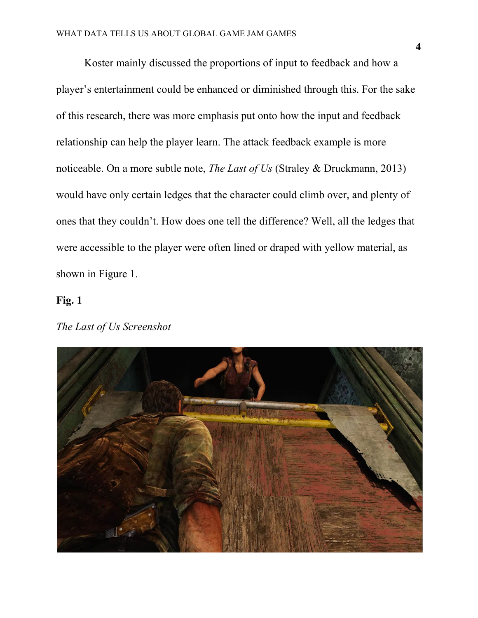Koster mainly discussed the proportions of input to feedback and how a player's entertainment could be enhanced or diminished through this. For the sake of this research, there was more emphasis put onto how the input and feedback relationship can help the player learn. The attack feedback example is more noticeable. On a more subtle note, *The Last of Us* (Straley & Druckmann, 2013) would have only certain ledges that the character could climb over, and plenty of ones that they couldn't. How does one tell the difference? Well, all the ledges that were accessible to the player were often lined or draped with yellow material, as shown in Figure 1.

### **Fig. 1**

## *The Last of Us Screenshot*

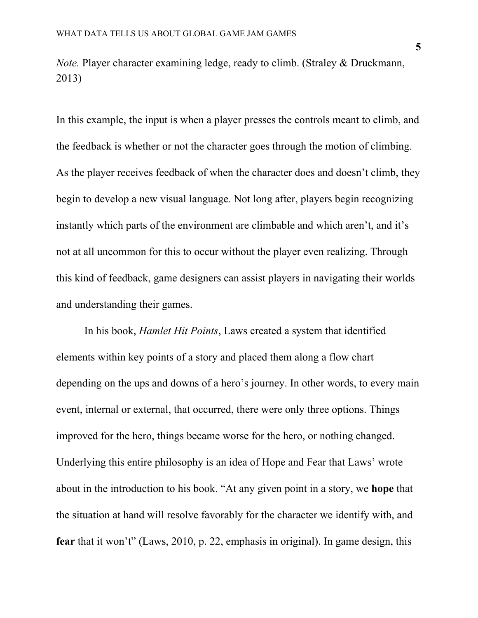*Note.* Player character examining ledge, ready to climb. (Straley & Druckmann, 2013)

In this example, the input is when a player presses the controls meant to climb, and the feedback is whether or not the character goes through the motion of climbing. As the player receives feedback of when the character does and doesn't climb, they begin to develop a new visual language. Not long after, players begin recognizing instantly which parts of the environment are climbable and which aren't, and it's not at all uncommon for this to occur without the player even realizing. Through this kind of feedback, game designers can assist players in navigating their worlds and understanding their games.

In his book, *Hamlet Hit Points*, Laws created a system that identified elements within key points of a story and placed them along a flow chart depending on the ups and downs of a hero's journey. In other words, to every main event, internal or external, that occurred, there were only three options. Things improved for the hero, things became worse for the hero, or nothing changed. Underlying this entire philosophy is an idea of Hope and Fear that Laws' wrote about in the introduction to his book. "At any given point in a story, we **hope** that the situation at hand will resolve favorably for the character we identify with, and **fear** that it won't" (Laws, 2010, p. 22, emphasis in original). In game design, this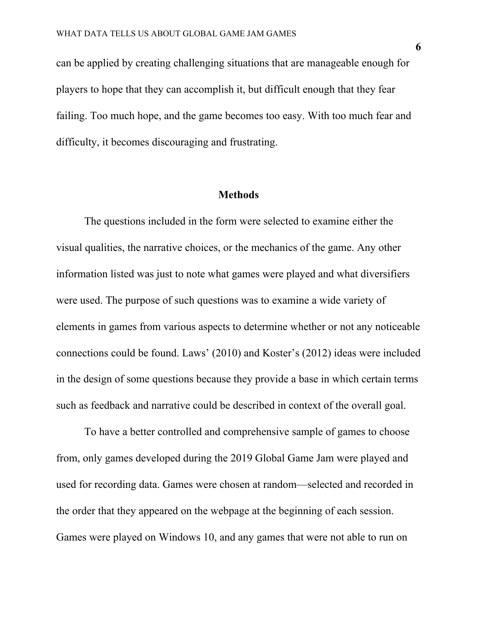can be applied by creating challenging situations that are manageable enough for players to hope that they can accomplish it, but difficult enough that they fear failing. Too much hope, and the game becomes too easy. With too much fear and difficulty, it becomes discouraging and frustrating.

### **Methods**

The questions included in the form were selected to examine either the visual qualities, the narrative choices, or the mechanics of the game. Any other information listed was just to note what games were played and what diversifiers were used. The purpose of such questions was to examine a wide variety of elements in games from various aspects to determine whether or not any noticeable connections could be found. Laws' (2010) and Koster's (2012) ideas were included in the design of some questions because they provide a base in which certain terms such as feedback and narrative could be described in context of the overall goal.

To have a better controlled and comprehensive sample of games to choose from, only games developed during the 2019 Global Game Jam were played and used for recording data. Games were chosen at random—selected and recorded in the order that they appeared on the webpage at the beginning of each session. Games were played on Windows 10, and any games that were not able to run on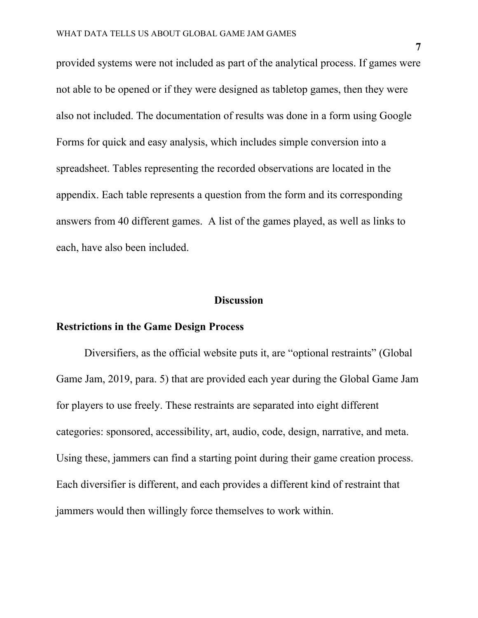provided systems were not included as part of the analytical process. If games were not able to be opened or if they were designed as tabletop games, then they were also not included. The documentation of results was done in a form using Google Forms for quick and easy analysis, which includes simple conversion into a spreadsheet. Tables representing the recorded observations are located in the appendix. Each table represents a question from the form and its corresponding answers from 40 different games. A list of the games played, as well as links to each, have also been included.

### **Discussion**

## **Restrictions in the Game Design Process**

Diversifiers, as the official website puts it, are "optional restraints" (Global Game Jam, 2019, para. 5) that are provided each year during the Global Game Jam for players to use freely. These restraints are separated into eight different categories: sponsored, accessibility, art, audio, code, design, narrative, and meta. Using these, jammers can find a starting point during their game creation process. Each diversifier is different, and each provides a different kind of restraint that jammers would then willingly force themselves to work within.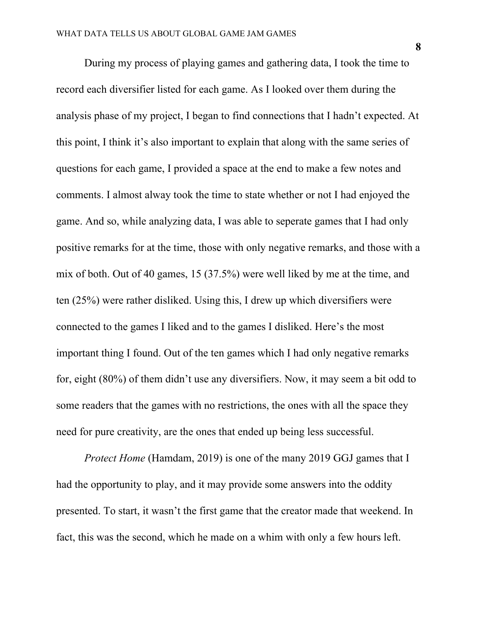During my process of playing games and gathering data, I took the time to record each diversifier listed for each game. As I looked over them during the analysis phase of my project, I began to find connections that I hadn't expected. At this point, I think it's also important to explain that along with the same series of questions for each game, I provided a space at the end to make a few notes and comments. I almost alway took the time to state whether or not I had enjoyed the game. And so, while analyzing data, I was able to seperate games that I had only positive remarks for at the time, those with only negative remarks, and those with a mix of both. Out of 40 games, 15 (37.5%) were well liked by me at the time, and ten (25%) were rather disliked. Using this, I drew up which diversifiers were connected to the games I liked and to the games I disliked. Here's the most important thing I found. Out of the ten games which I had only negative remarks for, eight (80%) of them didn't use any diversifiers. Now, it may seem a bit odd to some readers that the games with no restrictions, the ones with all the space they need for pure creativity, are the ones that ended up being less successful.

*Protect Home* (Hamdam, 2019) is one of the many 2019 GGJ games that I had the opportunity to play, and it may provide some answers into the oddity presented. To start, it wasn't the first game that the creator made that weekend. In fact, this was the second, which he made on a whim with only a few hours left.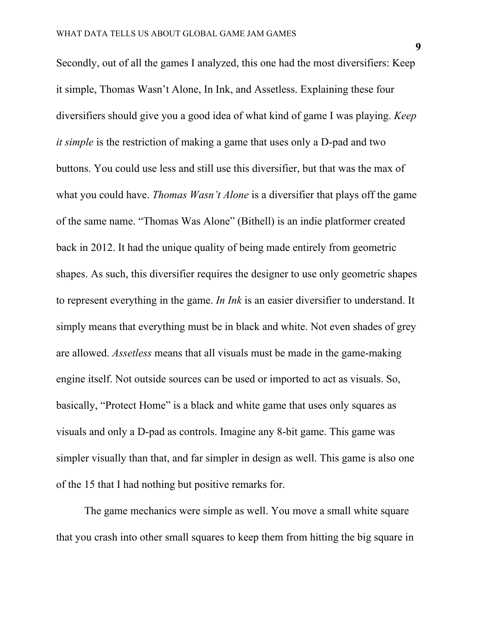Secondly, out of all the games I analyzed, this one had the most diversifiers: Keep it simple, Thomas Wasn't Alone, In Ink, and Assetless. Explaining these four diversifiers should give you a good idea of what kind of game I was playing. *Keep it simple* is the restriction of making a game that uses only a D-pad and two buttons. You could use less and still use this diversifier, but that was the max of what you could have. *Thomas Wasn't Alone* is a diversifier that plays off the game of the same name. "Thomas Was Alone" (Bithell) is an indie platformer created back in 2012. It had the unique quality of being made entirely from geometric shapes. As such, this diversifier requires the designer to use only geometric shapes to represent everything in the game. *In Ink* is an easier diversifier to understand. It simply means that everything must be in black and white. Not even shades of grey are allowed. *Assetless* means that all visuals must be made in the game-making engine itself. Not outside sources can be used or imported to act as visuals. So, basically, "Protect Home" is a black and white game that uses only squares as visuals and only a D-pad as controls. Imagine any 8-bit game. This game was simpler visually than that, and far simpler in design as well. This game is also one of the 15 that I had nothing but positive remarks for.

The game mechanics were simple as well. You move a small white square that you crash into other small squares to keep them from hitting the big square in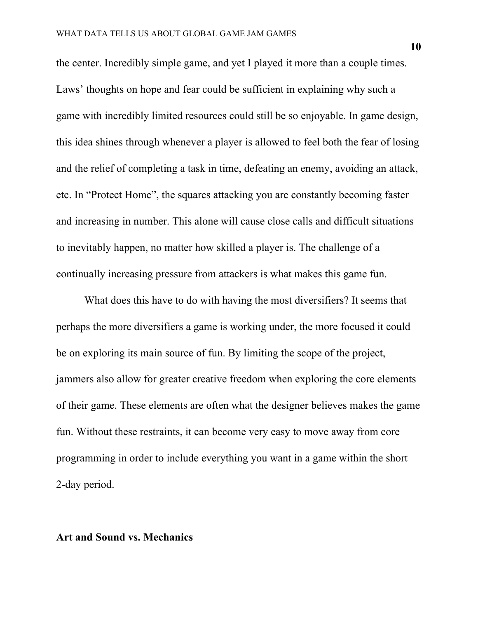the center. Incredibly simple game, and yet I played it more than a couple times. Laws' thoughts on hope and fear could be sufficient in explaining why such a game with incredibly limited resources could still be so enjoyable. In game design, this idea shines through whenever a player is allowed to feel both the fear of losing and the relief of completing a task in time, defeating an enemy, avoiding an attack, etc. In "Protect Home", the squares attacking you are constantly becoming faster and increasing in number. This alone will cause close calls and difficult situations to inevitably happen, no matter how skilled a player is. The challenge of a continually increasing pressure from attackers is what makes this game fun.

What does this have to do with having the most diversifiers? It seems that perhaps the more diversifiers a game is working under, the more focused it could be on exploring its main source of fun. By limiting the scope of the project, jammers also allow for greater creative freedom when exploring the core elements of their game. These elements are often what the designer believes makes the game fun. Without these restraints, it can become very easy to move away from core programming in order to include everything you want in a game within the short 2-day period.

### **Art and Sound vs. Mechanics**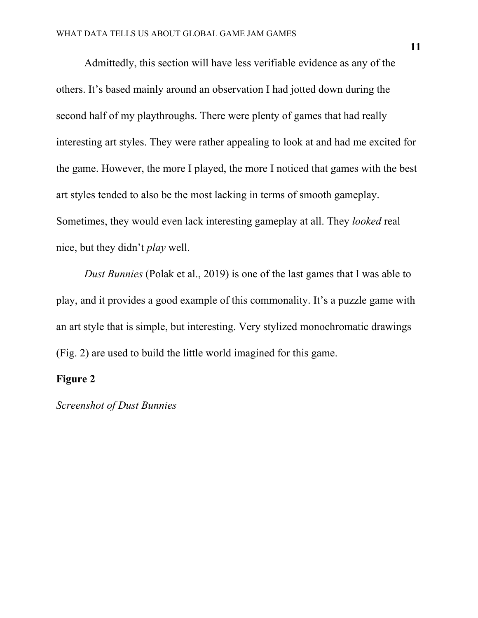Admittedly, this section will have less verifiable evidence as any of the others. It's based mainly around an observation I had jotted down during the second half of my playthroughs. There were plenty of games that had really interesting art styles. They were rather appealing to look at and had me excited for the game. However, the more I played, the more I noticed that games with the best art styles tended to also be the most lacking in terms of smooth gameplay. Sometimes, they would even lack interesting gameplay at all. They *looked* real nice, but they didn't *play* well.

*Dust Bunnies* (Polak et al., 2019) is one of the last games that I was able to play, and it provides a good example of this commonality. It's a puzzle game with an art style that is simple, but interesting. Very stylized monochromatic drawings (Fig. 2) are used to build the little world imagined for this game.

## **Figure 2**

*Screenshot of Dust Bunnies*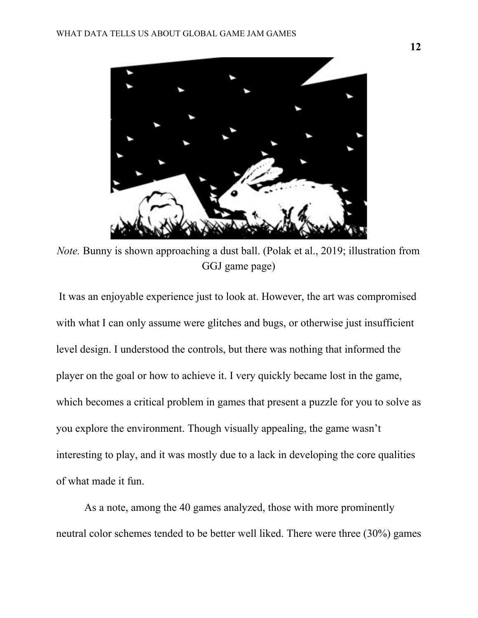

*Note.* Bunny is shown approaching a dust ball. (Polak et al., 2019; illustration from GGJ game page)

It was an enjoyable experience just to look at. However, the art was compromised with what I can only assume were glitches and bugs, or otherwise just insufficient level design. I understood the controls, but there was nothing that informed the player on the goal or how to achieve it. I very quickly became lost in the game, which becomes a critical problem in games that present a puzzle for you to solve as you explore the environment. Though visually appealing, the game wasn't interesting to play, and it was mostly due to a lack in developing the core qualities of what made it fun.

As a note, among the 40 games analyzed, those with more prominently neutral color schemes tended to be better well liked. There were three (30%) games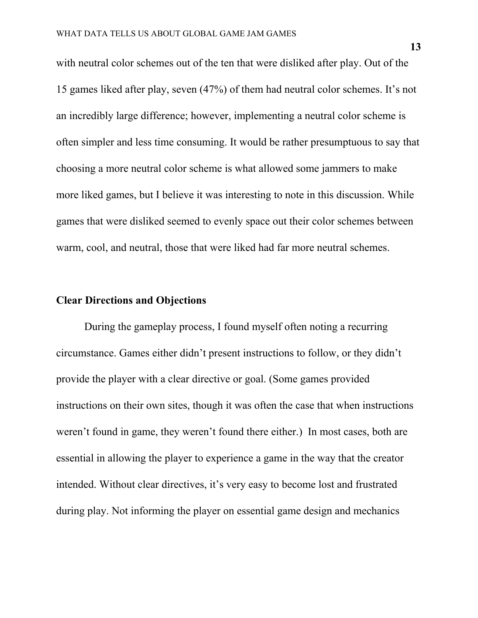with neutral color schemes out of the ten that were disliked after play. Out of the 15 games liked after play, seven (47%) of them had neutral color schemes. It's not an incredibly large difference; however, implementing a neutral color scheme is often simpler and less time consuming. It would be rather presumptuous to say that choosing a more neutral color scheme is what allowed some jammers to make more liked games, but I believe it was interesting to note in this discussion. While games that were disliked seemed to evenly space out their color schemes between warm, cool, and neutral, those that were liked had far more neutral schemes.

## **Clear Directions and Objections**

During the gameplay process, I found myself often noting a recurring circumstance. Games either didn't present instructions to follow, or they didn't provide the player with a clear directive or goal. (Some games provided instructions on their own sites, though it was often the case that when instructions weren't found in game, they weren't found there either.) In most cases, both are essential in allowing the player to experience a game in the way that the creator intended. Without clear directives, it's very easy to become lost and frustrated during play. Not informing the player on essential game design and mechanics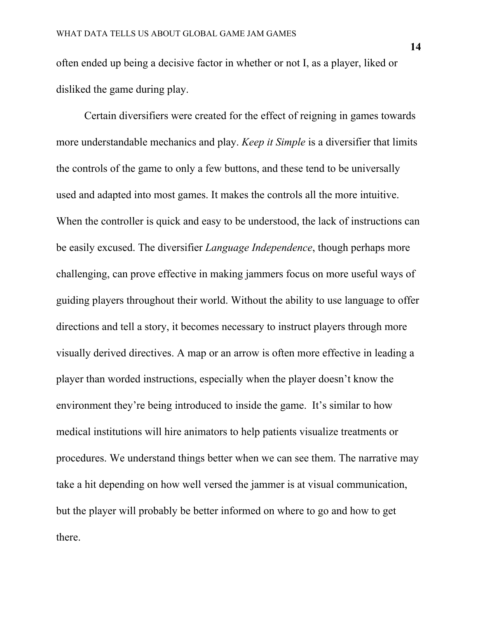often ended up being a decisive factor in whether or not I, as a player, liked or disliked the game during play.

Certain diversifiers were created for the effect of reigning in games towards more understandable mechanics and play. *Keep it Simple* is a diversifier that limits the controls of the game to only a few buttons, and these tend to be universally used and adapted into most games. It makes the controls all the more intuitive. When the controller is quick and easy to be understood, the lack of instructions can be easily excused. The diversifier *Language Independence*, though perhaps more challenging, can prove effective in making jammers focus on more useful ways of guiding players throughout their world. Without the ability to use language to offer directions and tell a story, it becomes necessary to instruct players through more visually derived directives. A map or an arrow is often more effective in leading a player than worded instructions, especially when the player doesn't know the environment they're being introduced to inside the game. It's similar to how medical institutions will hire animators to help patients visualize treatments or procedures. We understand things better when we can see them. The narrative may take a hit depending on how well versed the jammer is at visual communication, but the player will probably be better informed on where to go and how to get there.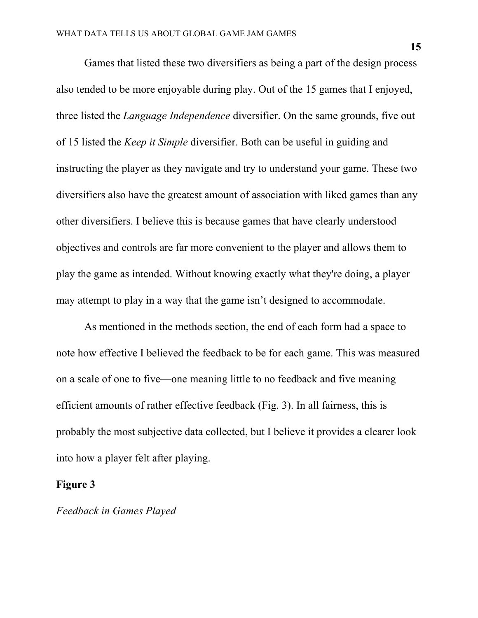Games that listed these two diversifiers as being a part of the design process also tended to be more enjoyable during play. Out of the 15 games that I enjoyed, three listed the *Language Independence* diversifier. On the same grounds, five out of 15 listed the *Keep it Simple* diversifier. Both can be useful in guiding and instructing the player as they navigate and try to understand your game. These two diversifiers also have the greatest amount of association with liked games than any other diversifiers. I believe this is because games that have clearly understood objectives and controls are far more convenient to the player and allows them to play the game as intended. Without knowing exactly what they're doing, a player may attempt to play in a way that the game isn't designed to accommodate.

As mentioned in the methods section, the end of each form had a space to note how effective I believed the feedback to be for each game. This was measured on a scale of one to five—one meaning little to no feedback and five meaning efficient amounts of rather effective feedback (Fig. 3). In all fairness, this is probably the most subjective data collected, but I believe it provides a clearer look into how a player felt after playing.

#### **Figure 3**

*Feedback in Games Played*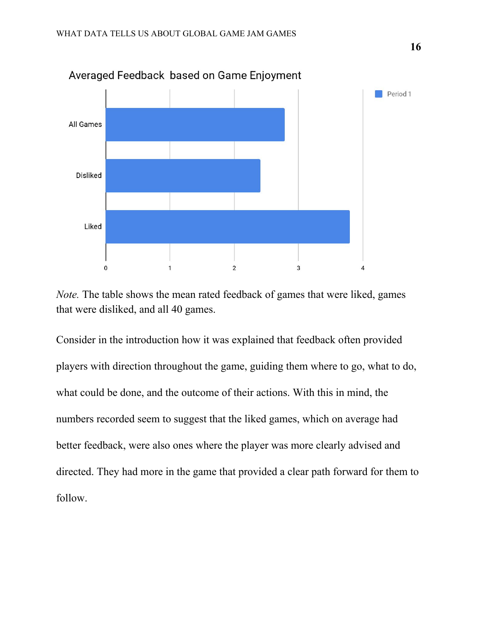

Averaged Feedback based on Game Enjoyment

*Note.* The table shows the mean rated feedback of games that were liked, games that were disliked, and all 40 games.

Consider in the introduction how it was explained that feedback often provided players with direction throughout the game, guiding them where to go, what to do, what could be done, and the outcome of their actions. With this in mind, the numbers recorded seem to suggest that the liked games, which on average had better feedback, were also ones where the player was more clearly advised and directed. They had more in the game that provided a clear path forward for them to follow.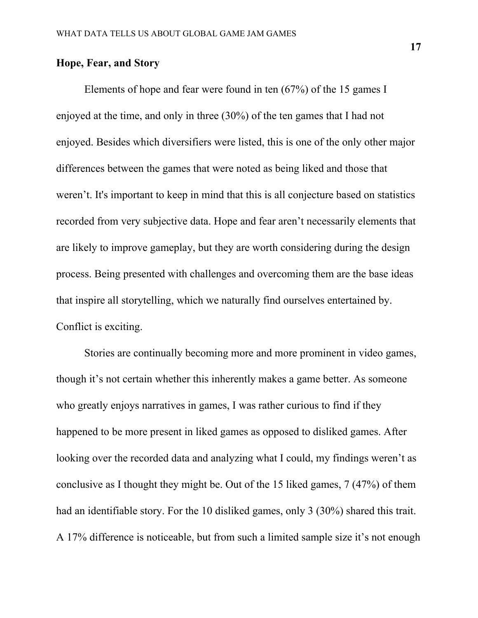## **Hope, Fear, and Story**

Elements of hope and fear were found in ten (67%) of the 15 games I enjoyed at the time, and only in three (30%) of the ten games that I had not enjoyed. Besides which diversifiers were listed, this is one of the only other major differences between the games that were noted as being liked and those that weren't. It's important to keep in mind that this is all conjecture based on statistics recorded from very subjective data. Hope and fear aren't necessarily elements that are likely to improve gameplay, but they are worth considering during the design process. Being presented with challenges and overcoming them are the base ideas that inspire all storytelling, which we naturally find ourselves entertained by. Conflict is exciting.

Stories are continually becoming more and more prominent in video games, though it's not certain whether this inherently makes a game better. As someone who greatly enjoys narratives in games, I was rather curious to find if they happened to be more present in liked games as opposed to disliked games. After looking over the recorded data and analyzing what I could, my findings weren't as conclusive as I thought they might be. Out of the 15 liked games, 7 (47%) of them had an identifiable story. For the 10 disliked games, only 3 (30%) shared this trait. A 17% difference is noticeable, but from such a limited sample size it's not enough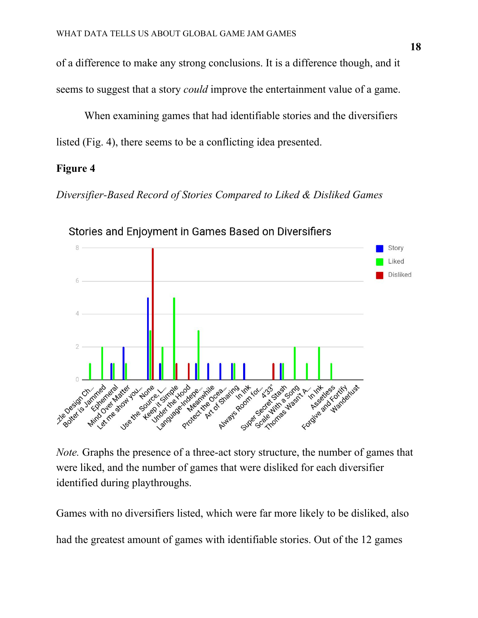of a difference to make any strong conclusions. It is a difference though, and it seems to suggest that a story *could* improve the entertainment value of a game.

When examining games that had identifiable stories and the diversifiers listed (Fig. 4), there seems to be a conflicting idea presented.

## **Figure 4**

*Diversifier-Based Record of Stories Compared to Liked & Disliked Games*



Stories and Enjoyment in Games Based on Diversifiers

*Note.* Graphs the presence of a three-act story structure, the number of games that were liked, and the number of games that were disliked for each diversifier identified during playthroughs.

Games with no diversifiers listed, which were far more likely to be disliked, also had the greatest amount of games with identifiable stories. Out of the 12 games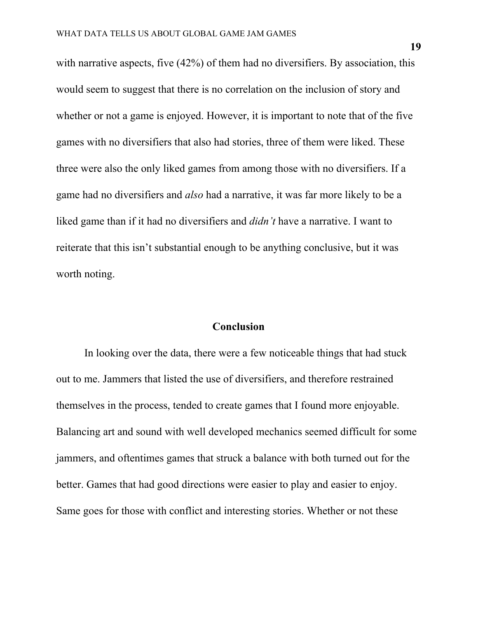with narrative aspects, five (42%) of them had no diversifiers. By association, this would seem to suggest that there is no correlation on the inclusion of story and whether or not a game is enjoyed. However, it is important to note that of the five games with no diversifiers that also had stories, three of them were liked. These three were also the only liked games from among those with no diversifiers. If a game had no diversifiers and *also* had a narrative, it was far more likely to be a liked game than if it had no diversifiers and *didn't* have a narrative. I want to reiterate that this isn't substantial enough to be anything conclusive, but it was worth noting.

### **Conclusion**

In looking over the data, there were a few noticeable things that had stuck out to me. Jammers that listed the use of diversifiers, and therefore restrained themselves in the process, tended to create games that I found more enjoyable. Balancing art and sound with well developed mechanics seemed difficult for some jammers, and oftentimes games that struck a balance with both turned out for the better. Games that had good directions were easier to play and easier to enjoy. Same goes for those with conflict and interesting stories. Whether or not these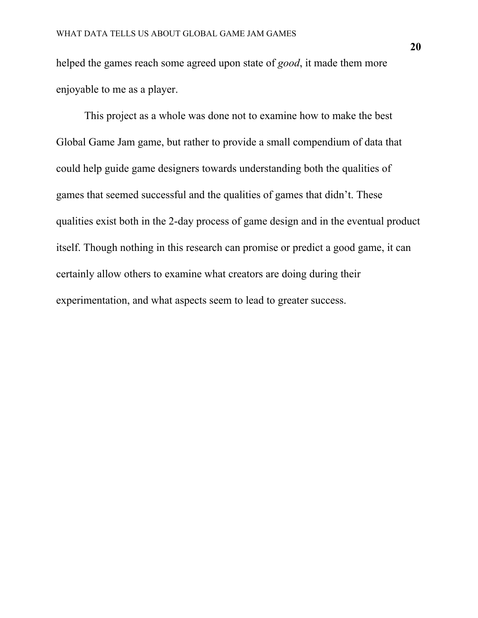helped the games reach some agreed upon state of *good*, it made them more enjoyable to me as a player.

This project as a whole was done not to examine how to make the best Global Game Jam game, but rather to provide a small compendium of data that could help guide game designers towards understanding both the qualities of games that seemed successful and the qualities of games that didn't. These qualities exist both in the 2-day process of game design and in the eventual product itself. Though nothing in this research can promise or predict a good game, it can certainly allow others to examine what creators are doing during their experimentation, and what aspects seem to lead to greater success.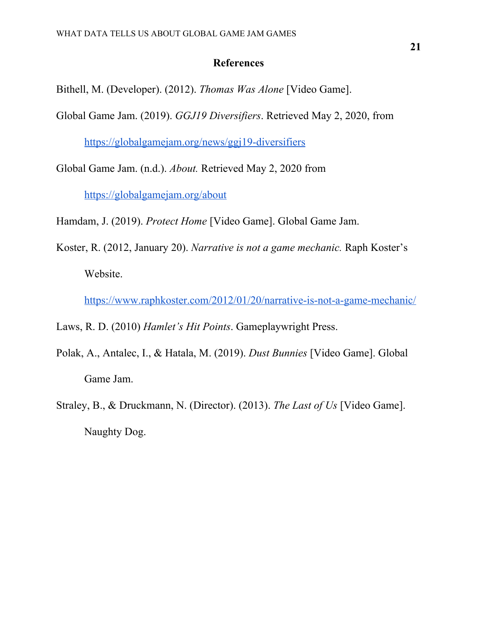## **References**

- Bithell, M. (Developer). (2012). *Thomas Was Alone* [Video Game].
- Global Game Jam. (2019). *GGJ19 Diversifiers*. Retrieved May 2, 2020, from

<https://globalgamejam.org/news/ggj19-diversifiers>

Global Game Jam. (n.d.). *About.* Retrieved May 2, 2020 from

<https://globalgamejam.org/about>

Hamdam, J. (2019). *Protect Home* [Video Game]. Global Game Jam.

Koster, R. (2012, January 20). *Narrative is not a game mechanic.* Raph Koster's Website.

<https://www.raphkoster.com/2012/01/20/narrative-is-not-a-game-mechanic/>

Laws, R. D. (2010) *Hamlet's Hit Points*. Gameplaywright Press.

- Polak, A., Antalec, I., & Hatala, M. (2019). *Dust Bunnies* [Video Game]. Global Game Jam.
- Straley, B., & Druckmann, N. (Director). (2013). *The Last of Us* [Video Game]. Naughty Dog.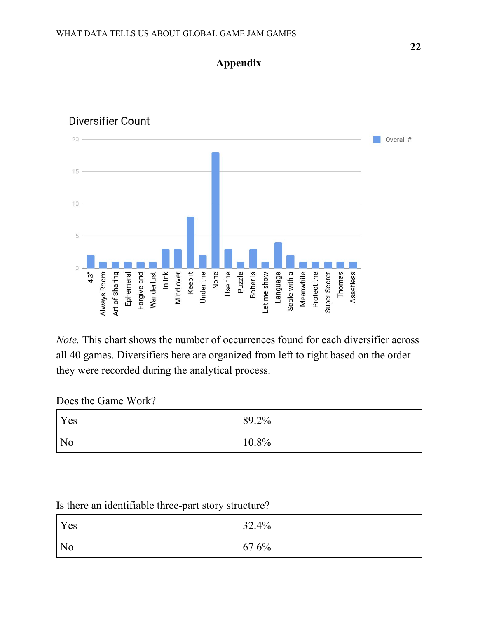

**Appendix**

## Diversifier Count

*Note.* This chart shows the number of occurrences found for each diversifier across all 40 games. Diversifiers here are organized from left to right based on the order they were recorded during the analytical process.

## Does the Game Work?

| <b>Yes</b>     | 89.2%    |
|----------------|----------|
| N <sub>o</sub> | $10.8\%$ |

## Is there an identifiable three-part story structure?

| Yes            | 32.4% |
|----------------|-------|
| N <sub>o</sub> | 67.6% |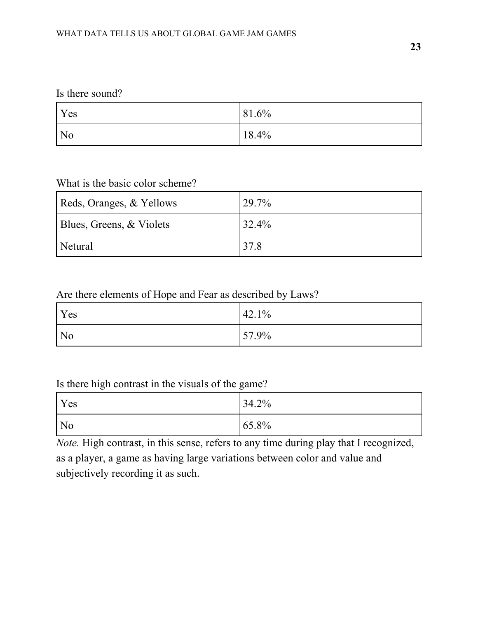## Is there sound?

| Yes            | 81.6%    |
|----------------|----------|
| N <sub>0</sub> | $18.4\%$ |

## What is the basic color scheme?

| Reds, Oranges, & Yellows | 29.7% |
|--------------------------|-------|
| Blues, Greens, & Violets | 32.4% |
| Netural                  | 37.8  |

## Are there elements of Hope and Fear as described by Laws?

| Yes            | 42.1% |
|----------------|-------|
| N <sub>0</sub> | 57.9% |

## Is there high contrast in the visuals of the game?

| Yes            | 34.2% |
|----------------|-------|
| N <sub>0</sub> | 65.8% |

*Note.* High contrast, in this sense, refers to any time during play that I recognized, as a player, a game as having large variations between color and value and subjectively recording it as such.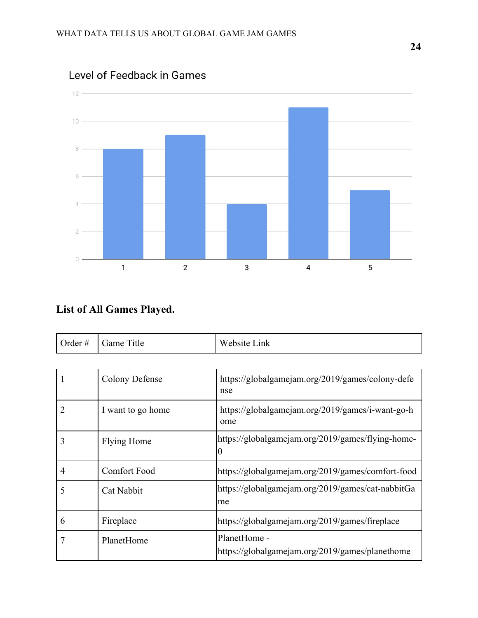

Level of Feedback in Games

# **List of All Games Played.**

| Order # | Game Title | Website Link |
|---------|------------|--------------|
|---------|------------|--------------|

| 1 | Colony Defense      | https://globalgamejam.org/2019/games/colony-defe<br>nse         |
|---|---------------------|-----------------------------------------------------------------|
| 2 | I want to go home   | https://globalgamejam.org/2019/games/i-want-go-h<br>ome         |
| 3 | Flying Home         | https://globalgamejam.org/2019/games/flying-home-<br>0          |
| 4 | <b>Comfort Food</b> | https://globalgamejam.org/2019/games/comfort-food               |
| 5 | Cat Nabbit          | https://globalgamejam.org/2019/games/cat-nabbitGa<br>me         |
| 6 | Fireplace           | https://globalgamejam.org/2019/games/fireplace                  |
|   | PlanetHome          | PlanetHome -<br>https://globalgamejam.org/2019/games/planethome |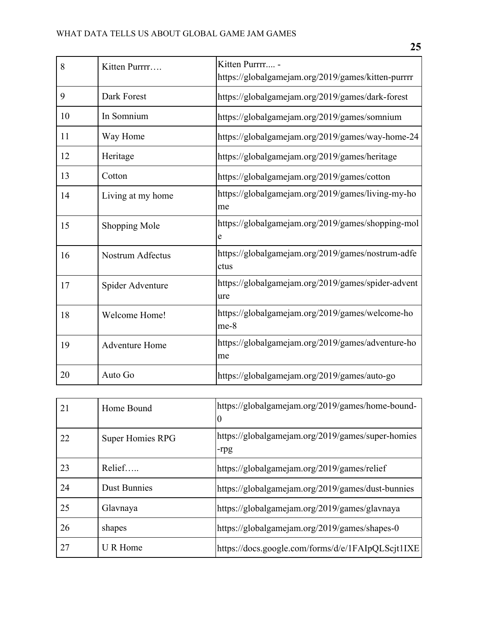| 8  | Kitten Purrrr         | Kitten Purrrr -<br>https://globalgamejam.org/2019/games/kitten-purrrr |
|----|-----------------------|-----------------------------------------------------------------------|
| 9  | Dark Forest           | https://globalgamejam.org/2019/games/dark-forest                      |
| 10 | In Somnium            | https://globalgamejam.org/2019/games/somnium                          |
| 11 | Way Home              | https://globalgamejam.org/2019/games/way-home-24                      |
| 12 | Heritage              | https://globalgamejam.org/2019/games/heritage                         |
| 13 | Cotton                | https://globalgamejam.org/2019/games/cotton                           |
| 14 | Living at my home     | https://globalgamejam.org/2019/games/living-my-ho<br>me               |
| 15 | Shopping Mole         | https://globalgamejam.org/2019/games/shopping-mol<br>e                |
| 16 | Nostrum Adfectus      | https://globalgamejam.org/2019/games/nostrum-adfe<br>ctus             |
| 17 | Spider Adventure      | https://globalgamejam.org/2019/games/spider-advent<br>ure             |
| 18 | Welcome Home!         | https://globalgamejam.org/2019/games/welcome-ho<br>$me-8$             |
| 19 | <b>Adventure Home</b> | https://globalgamejam.org/2019/games/adventure-ho<br>me               |
| 20 | Auto Go               | https://globalgamejam.org/2019/games/auto-go                          |

| 21 | Home Bound              | https://globalgamejam.org/2019/games/home-bound-<br>$\theta$ |
|----|-------------------------|--------------------------------------------------------------|
| 22 | <b>Super Homies RPG</b> | https://globalgamejam.org/2019/games/super-homies<br>-rpg    |
| 23 | Relief                  | https://globalgamejam.org/2019/games/relief                  |
| 24 | <b>Dust Bunnies</b>     | https://globalgamejam.org/2019/games/dust-bunnies            |
| 25 | Glavnaya                | https://globalgamejam.org/2019/games/glavnaya                |
| 26 | shapes                  | https://globalgamejam.org/2019/games/shapes-0                |
| 27 | U R Home                | https://docs.google.com/forms/d/e/1FAIpQLScjt1IXE            |